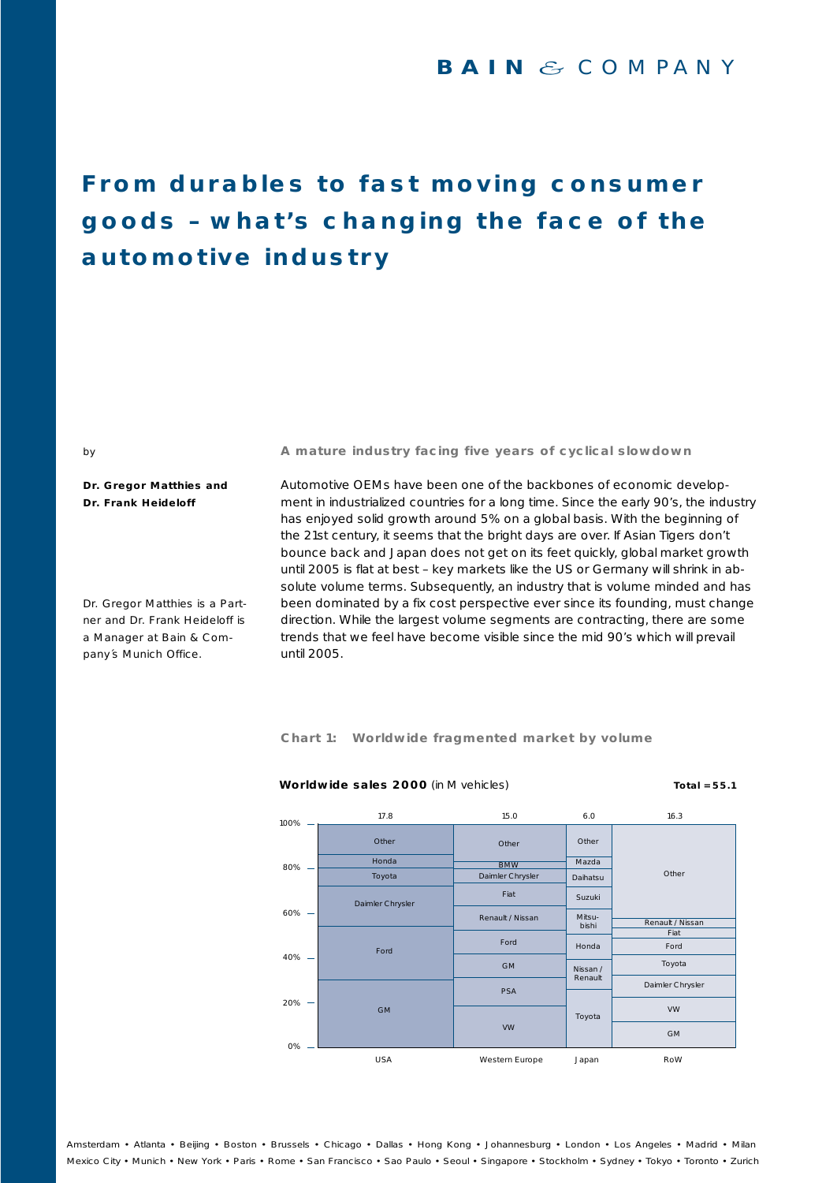### **From durables to fast moving consumer goods – what's changing the face of the automotive industry**

**A mature industry facing five years of cyclical slowdown**

**Dr. Gregor Matthies and Dr. Frank Heideloff**

by

Dr. Gregor Matthies is a Partner and Dr. Frank Heideloff is a Manager at Bain & Company´s Munich Office.

Automotive OEMs have been one of the backbones of economic development in industrialized countries for a long time. Since the early 90's, the industry has enjoyed solid growth around 5% on a global basis. With the beginning of the 21st century, it seems that the bright days are over. If Asian Tigers don't bounce back and Japan does not get on its feet quickly, global market growth until 2005 is flat at best – key markets like the US or Germany will shrink in absolute volume terms. Subsequently, an industry that is volume minded and has been dominated by a fix cost perspective ever since its founding, must change direction. While the largest volume segments are contracting, there are some trends that we feel have become visible since the mid 90's which will prevail until 2005.

**Chart 1: Worldwide fragmented market by volume**



#### **Worldwide sales 2000** (in M vehicles) **Total = 55.1 Total = 55.1**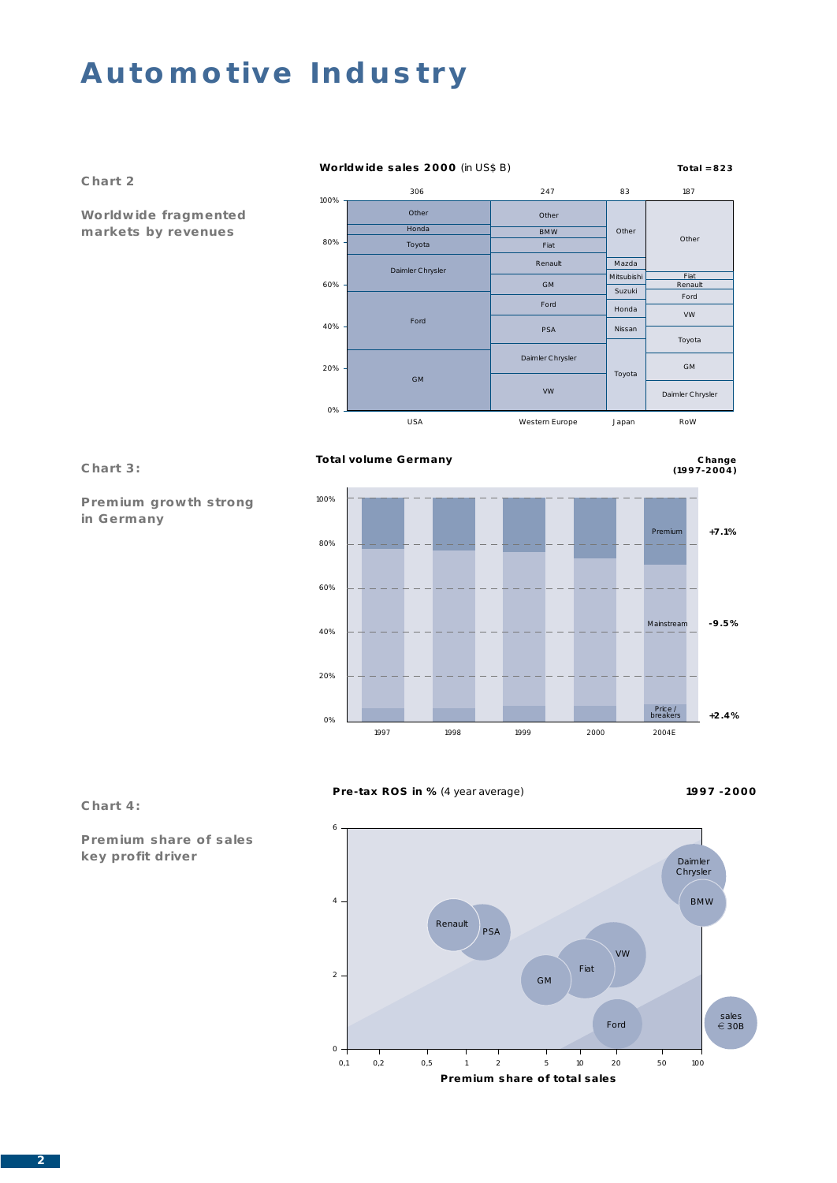#### **Worldwide sales 2000** (in US\$ B) **Total = 823**



**Chart 2**

**Premium growth strong** 

**in Germany**



#### **Total volume Germany**





#### **Pre-tax ROS in %** (4 year average) **1997 -2000**





#### **Chart 4:**

**Premium share of sales key profit driver**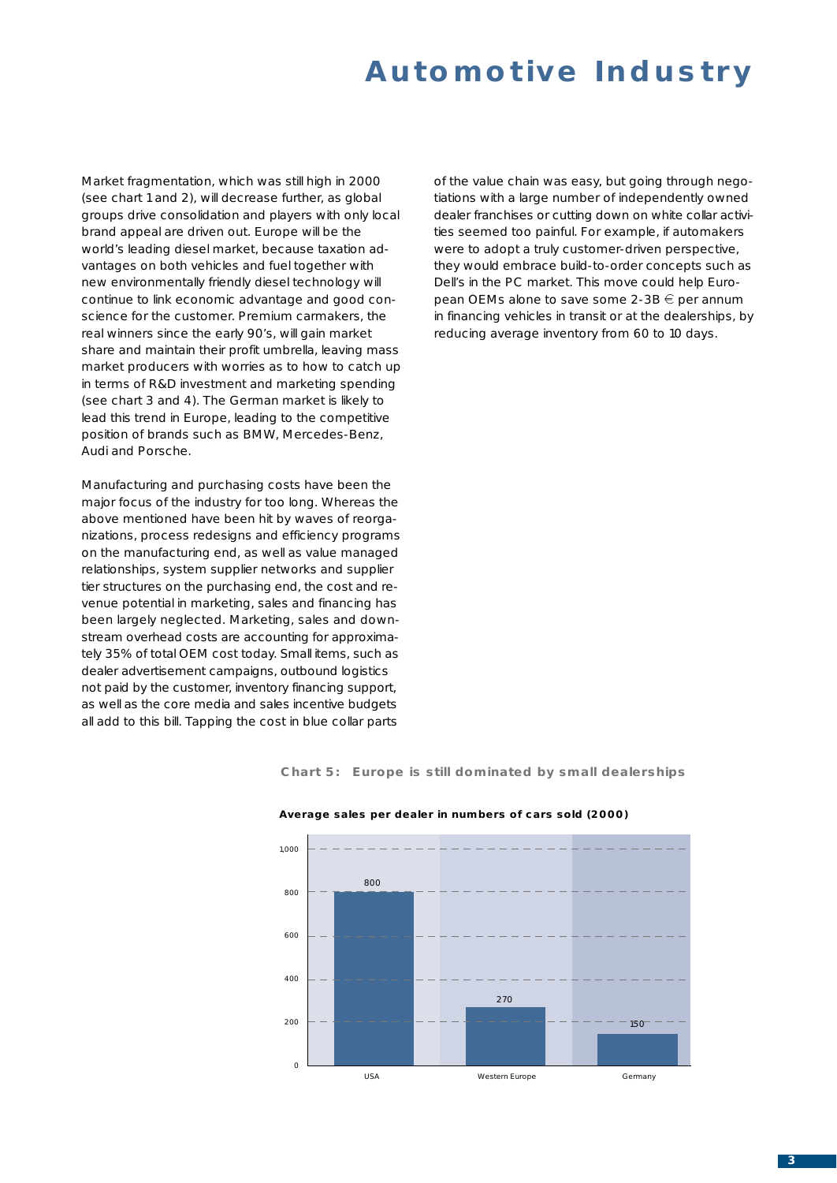Market fragmentation, which was still high in 2000 (see chart 1 and 2), will decrease further, as global groups drive consolidation and players with only local brand appeal are driven out. Europe will be the world's leading diesel market, because taxation advantages on both vehicles and fuel together with new environmentally friendly diesel technology will continue to link economic advantage and good conscience for the customer. Premium carmakers, the real winners since the early 90's, will gain market share and maintain their profit umbrella, leaving mass market producers with worries as to how to catch up in terms of R&D investment and marketing spending (see chart 3 and 4). The German market is likely to lead this trend in Europe, leading to the competitive position of brands such as BMW, Mercedes-Benz, Audi and Porsche.

Manufacturing and purchasing costs have been the major focus of the industry for too long. Whereas the above mentioned have been hit by waves of reorganizations, process redesigns and efficiency programs on the manufacturing end, as well as value managed relationships, system supplier networks and supplier tier structures on the purchasing end, the cost and revenue potential in marketing, sales and financing has been largely neglected. Marketing, sales and downstream overhead costs are accounting for approximately 35% of total OEM cost today. Small items, such as dealer advertisement campaigns, outbound logistics not paid by the customer, inventory financing support, as well as the core media and sales incentive budgets all add to this bill. Tapping the cost in blue collar parts

of the value chain was easy, but going through negotiations with a large number of independently owned dealer franchises or cutting down on white collar activities seemed too painful. For example, if automakers were to adopt a truly customer-driven perspective, they would embrace build-to-order concepts such as Dell's in the PC market. This move could help European OEMs alone to save some  $2-3B \in$  per annum in financing vehicles in transit or at the dealerships, by reducing average inventory from 60 to 10 days.

**Chart 5: Europe is still dominated by small dealerships**



#### **Average sales per dealer in numbers of cars sold (2000)**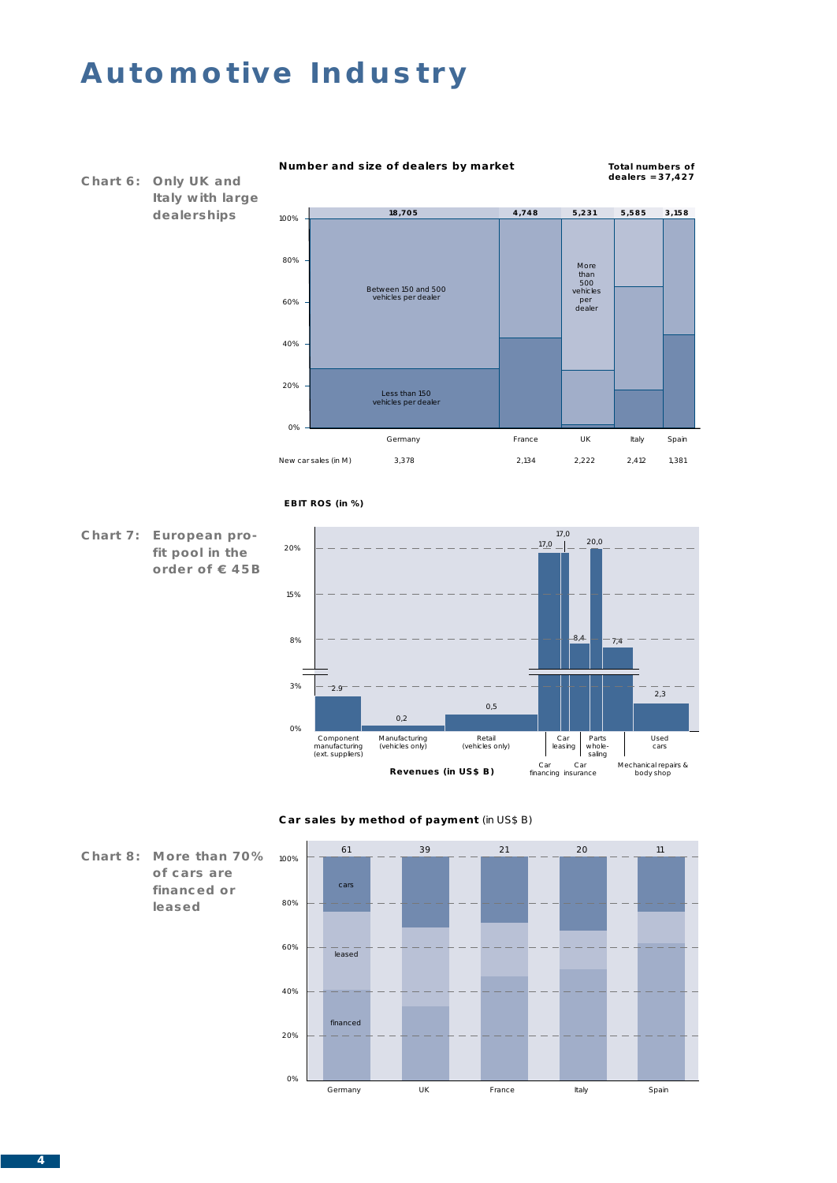

#### **Number and size of dealers by market**

**Total numbers of dealers = 37,427**











**of cars are financed or leased**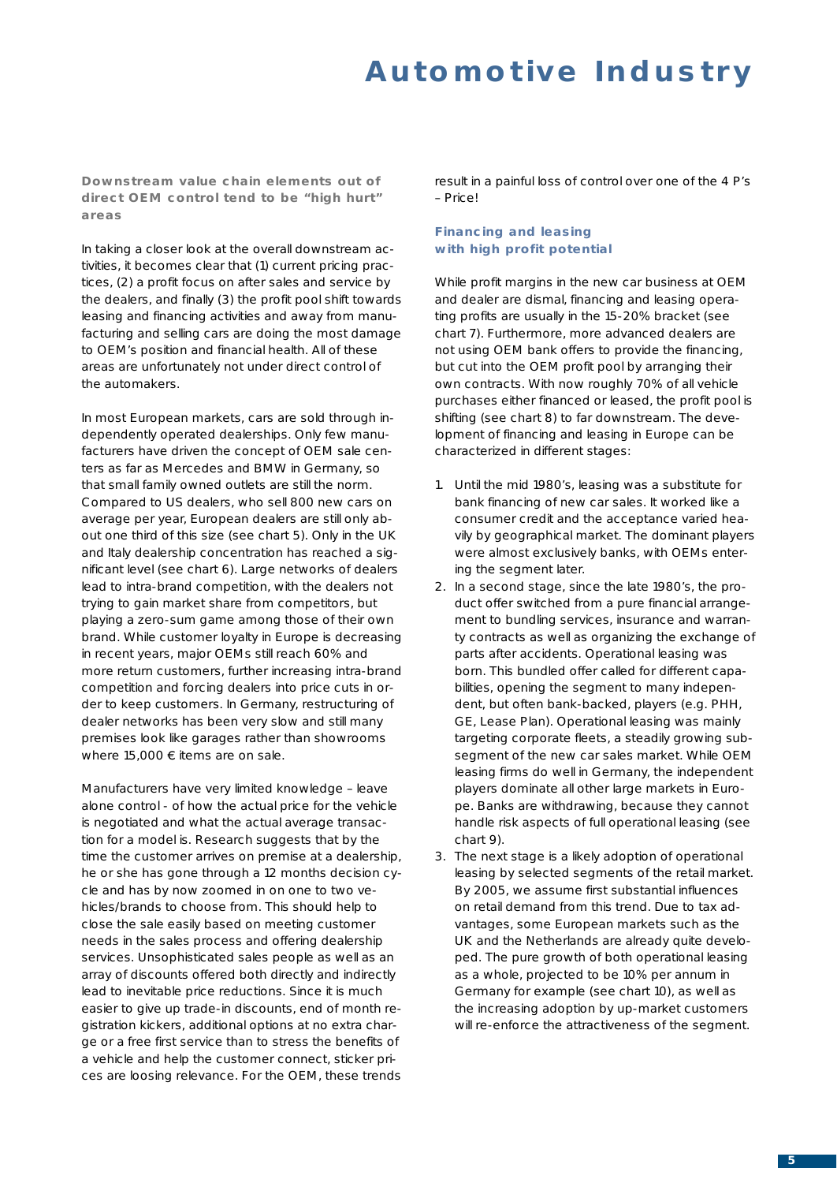**Downstream value chain elements out of direct OEM control tend to be "high hurt" areas**

In taking a closer look at the overall downstream activities, it becomes clear that (1) current pricing practices, (2) a profit focus on after sales and service by the dealers, and finally (3) the profit pool shift towards leasing and financing activities and away from manufacturing and selling cars are doing the most damage to OEM's position and financial health. All of these areas are unfortunately not under direct control of the automakers.

In most European markets, cars are sold through independently operated dealerships. Only few manufacturers have driven the concept of OEM sale centers as far as Mercedes and BMW in Germany, so that small family owned outlets are still the norm. Compared to US dealers, who sell 800 new cars on average per year, European dealers are still only about one third of this size (see chart 5). Only in the UK and Italy dealership concentration has reached a significant level (see chart 6). Large networks of dealers lead to intra-brand competition, with the dealers not trying to gain market share from competitors, but playing a zero-sum game among those of their own brand. While customer loyalty in Europe is decreasing in recent years, major OEMs still reach 60% and more return customers, further increasing intra-brand competition and forcing dealers into price cuts in order to keep customers. In Germany, restructuring of dealer networks has been very slow and still many premises look like garages rather than showrooms where 15,000  $\epsilon$  items are on sale.

Manufacturers have very limited knowledge – leave alone control - of how the actual price for the vehicle is negotiated and what the actual average transaction for a model is. Research suggests that by the time the customer arrives on premise at a dealership, he or she has gone through a 12 months decision cycle and has by now zoomed in on one to two vehicles/brands to choose from. This should help to close the sale easily based on meeting customer needs in the sales process and offering dealership services. Unsophisticated sales people as well as an array of discounts offered both directly and indirectly lead to inevitable price reductions. Since it is much easier to give up trade-in discounts, end of month registration kickers, additional options at no extra charge or a free first service than to stress the benefits of a vehicle and help the customer connect, sticker prices are loosing relevance. For the OEM, these trends

result in a painful loss of control over one of the 4 P's – Price!

#### **Financing and leasing with high profit potential**

While profit margins in the new car business at OEM and dealer are dismal, financing and leasing operating profits are usually in the 15-20% bracket (see chart 7). Furthermore, more advanced dealers are not using OEM bank offers to provide the financing, but cut into the OEM profit pool by arranging their own contracts. With now roughly 70% of all vehicle purchases either financed or leased, the profit pool is shifting (see chart 8) to far downstream. The development of financing and leasing in Europe can be characterized in different stages:

- 1. Until the mid 1980's, leasing was a substitute for bank financing of new car sales. It worked like a consumer credit and the acceptance varied heavily by geographical market. The dominant players were almost exclusively banks, with OEMs entering the segment later.
- 2. In a second stage, since the late 1980's, the product offer switched from a pure financial arrangement to bundling services, insurance and warranty contracts as well as organizing the exchange of parts after accidents. Operational leasing was born. This bundled offer called for different capabilities, opening the segment to many independent, but often bank-backed, players (e.g. PHH, GE, Lease Plan). Operational leasing was mainly targeting corporate fleets, a steadily growing subsegment of the new car sales market. While OEM leasing firms do well in Germany, the independent players dominate all other large markets in Europe. Banks are withdrawing, because they cannot handle risk aspects of full operational leasing (see chart 9).
- 3. The next stage is a likely adoption of operational leasing by selected segments of the retail market. By 2005, we assume first substantial influences on retail demand from this trend. Due to tax advantages, some European markets such as the UK and the Netherlands are already quite developed. The pure growth of both operational leasing as a whole, projected to be 10% per annum in Germany for example (see chart 10), as well as the increasing adoption by up-market customers will re-enforce the attractiveness of the segment.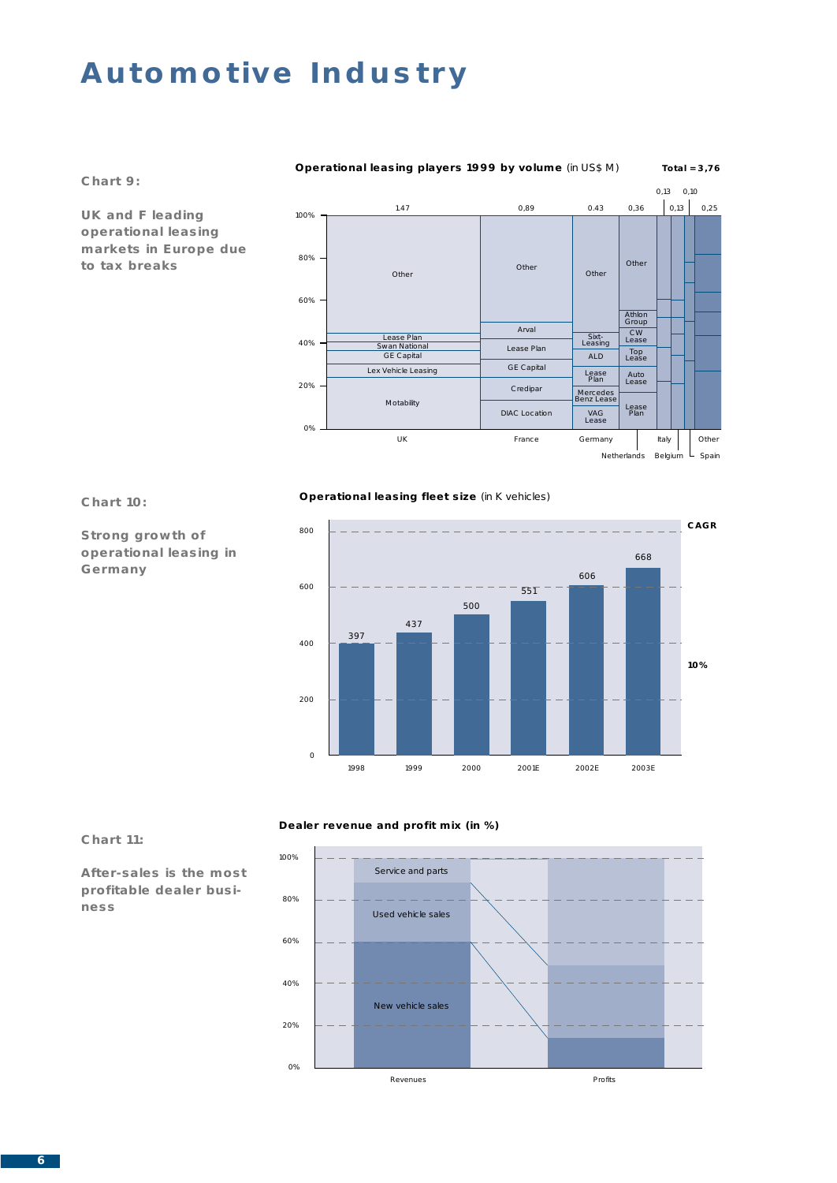**Chart 9:**

**UK and F leading operational leasing markets in Europe due to tax breaks**



#### **Chart 10:**

**Operational leasing fleet size** (in K vehicles)



**Strong growth of operational leasing in Germany**

### **Chart 11:**

**After-sales is the most profitable dealer business**

### **Dealer revenue and profit mix (in %)**



### **Operational leasing players 1999 by volume** (in US\$ M) Total = 3,76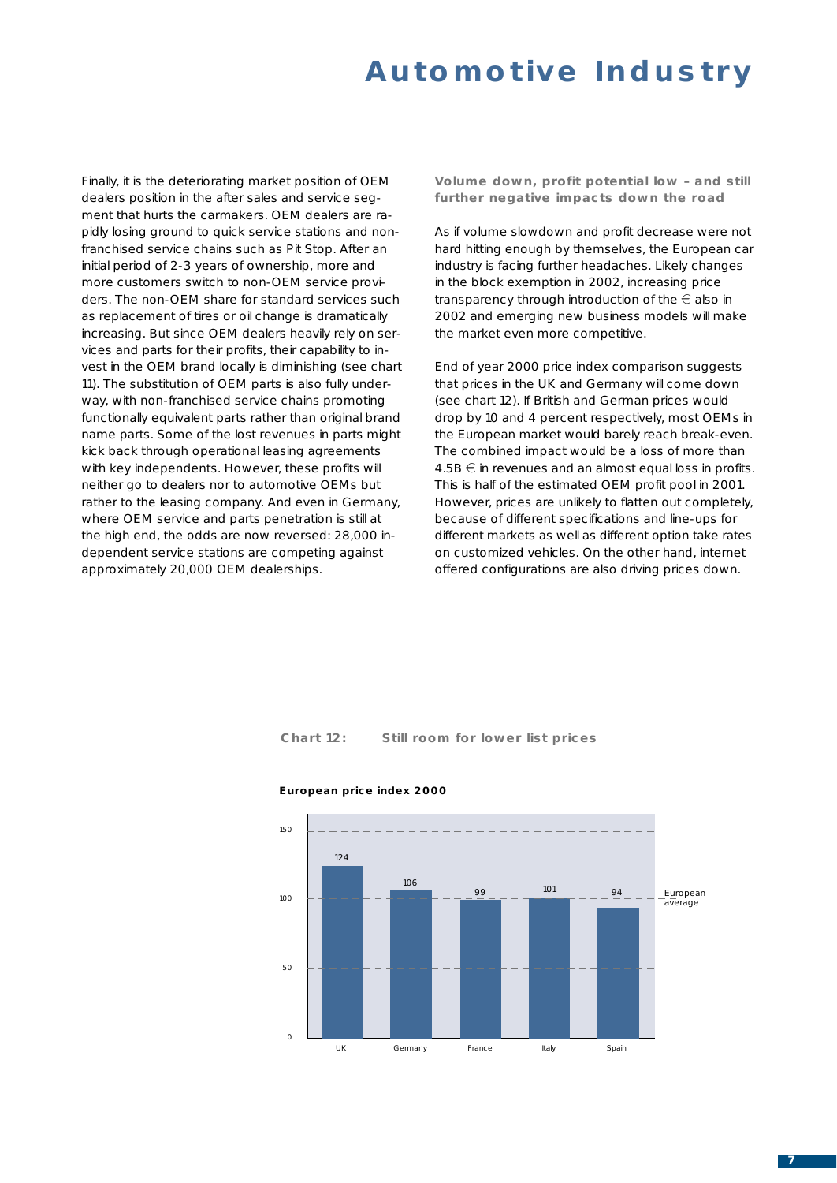Finally, it is the deteriorating market position of OEM dealers position in the after sales and service segment that hurts the carmakers. OEM dealers are rapidly losing ground to quick service stations and nonfranchised service chains such as Pit Stop. After an initial period of 2-3 years of ownership, more and more customers switch to non-OEM service providers. The non-OEM share for standard services such as replacement of tires or oil change is dramatically increasing. But since OEM dealers heavily rely on services and parts for their profits, their capability to invest in the OEM brand locally is diminishing (see chart 11). The substitution of OEM parts is also fully underway, with non-franchised service chains promoting functionally equivalent parts rather than original brand name parts. Some of the lost revenues in parts might kick back through operational leasing agreements with key independents. However, these profits will neither go to dealers nor to automotive OEMs but rather to the leasing company. And even in Germany, where OEM service and parts penetration is still at the high end, the odds are now reversed: 28,000 independent service stations are competing against approximately 20,000 OEM dealerships.

**Volume down, profit potential low – and still further negative impacts down the road**

As if volume slowdown and profit decrease were not hard hitting enough by themselves, the European car industry is facing further headaches. Likely changes in the block exemption in 2002, increasing price transparency through introduction of the  $\in$  also in 2002 and emerging new business models will make the market even more competitive.

End of year 2000 price index comparison suggests that prices in the UK and Germany will come down (see chart 12). If British and German prices would drop by 10 and 4 percent respectively, most OEMs in the European market would barely reach break-even. The combined impact would be a loss of more than  $4.5B \oplus$  in revenues and an almost equal loss in profits. This is half of the estimated OEM profit pool in 2001. However, prices are unlikely to flatten out completely, because of different specifications and line-ups for different markets as well as different option take rates on customized vehicles. On the other hand, internet offered configurations are also driving prices down.

**Chart 12: Still room for lower list prices**



#### **European price index 2000**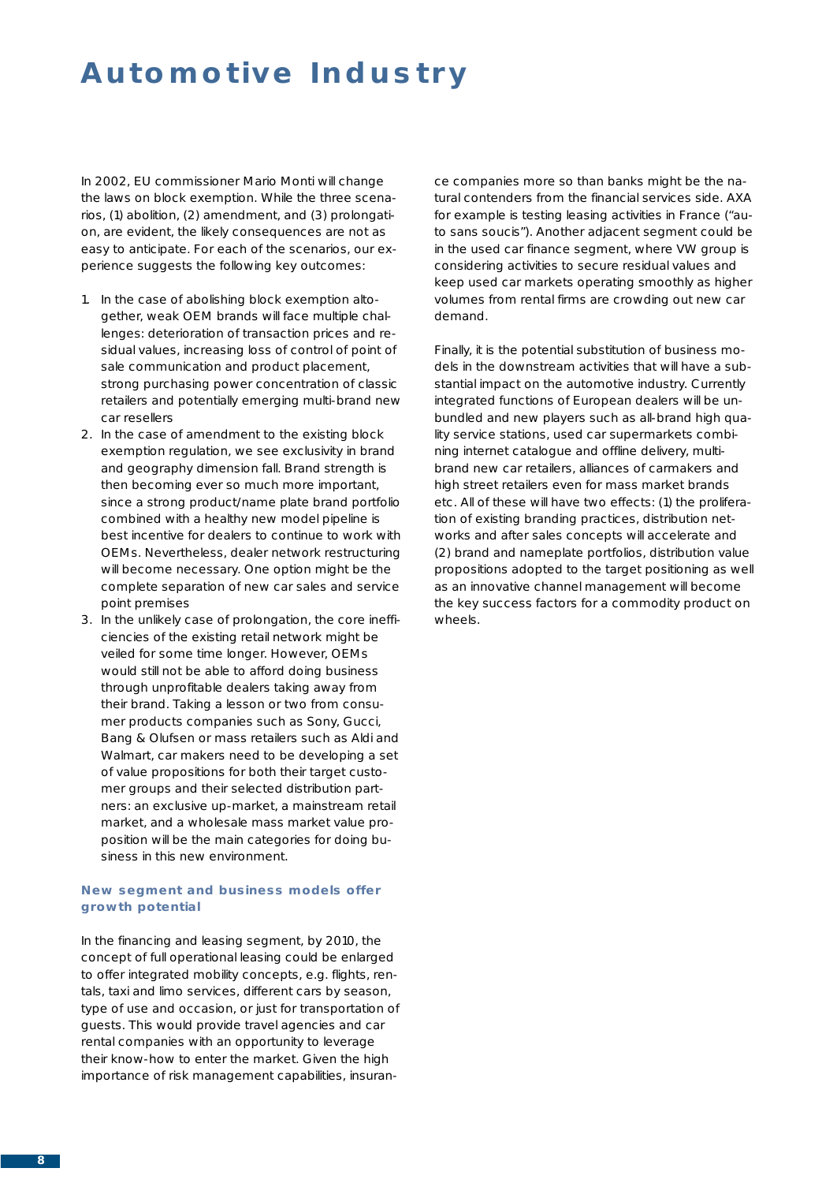In 2002, EU commissioner Mario Monti will change the laws on block exemption. While the three scenarios, (1) abolition, (2) amendment, and (3) prolongation, are evident, the likely consequences are not as easy to anticipate. For each of the scenarios, our experience suggests the following key outcomes:

- 1. In the case of abolishing block exemption altogether, weak OEM brands will face multiple challenges: deterioration of transaction prices and residual values, increasing loss of control of point of sale communication and product placement, strong purchasing power concentration of classic retailers and potentially emerging multi-brand new car resellers
- 2. In the case of amendment to the existing block exemption regulation, we see exclusivity in brand and geography dimension fall. Brand strength is then becoming ever so much more important, since a strong product/name plate brand portfolio combined with a healthy new model pipeline is best incentive for dealers to continue to work with OEMs. Nevertheless, dealer network restructuring will become necessary. One option might be the complete separation of new car sales and service point premises
- 3. In the unlikely case of prolongation, the core inefficiencies of the existing retail network might be veiled for some time longer. However, OEMs would still not be able to afford doing business through unprofitable dealers taking away from their brand. Taking a lesson or two from consumer products companies such as Sony, Gucci, Bang & Olufsen or mass retailers such as Aldi and Walmart, car makers need to be developing a set of value propositions for both their target customer groups and their selected distribution partners: an exclusive up-market, a mainstream retail market, and a wholesale mass market value proposition will be the main categories for doing business in this new environment.

#### **New segment and business models offer growth potential**

In the financing and leasing segment, by 2010, the concept of full operational leasing could be enlarged to offer integrated mobility concepts, e.g. flights, rentals, taxi and limo services, different cars by season, type of use and occasion, or just for transportation of guests. This would provide travel agencies and car rental companies with an opportunity to leverage their know-how to enter the market. Given the high importance of risk management capabilities, insurance companies more so than banks might be the natural contenders from the financial services side. AXA for example is testing leasing activities in France ("auto sans soucis"). Another adjacent segment could be in the used car finance segment, where VW group is considering activities to secure residual values and keep used car markets operating smoothly as higher volumes from rental firms are crowding out new car demand.

Finally, it is the potential substitution of business models in the downstream activities that will have a substantial impact on the automotive industry. Currently integrated functions of European dealers will be unbundled and new players such as all-brand high quality service stations, used car supermarkets combining internet catalogue and offline delivery, multibrand new car retailers, alliances of carmakers and high street retailers even for mass market brands etc. All of these will have two effects: (1) the proliferation of existing branding practices, distribution networks and after sales concepts will accelerate and (2) brand and nameplate portfolios, distribution value propositions adopted to the target positioning as well as an innovative channel management will become the key success factors for a commodity product on wheels.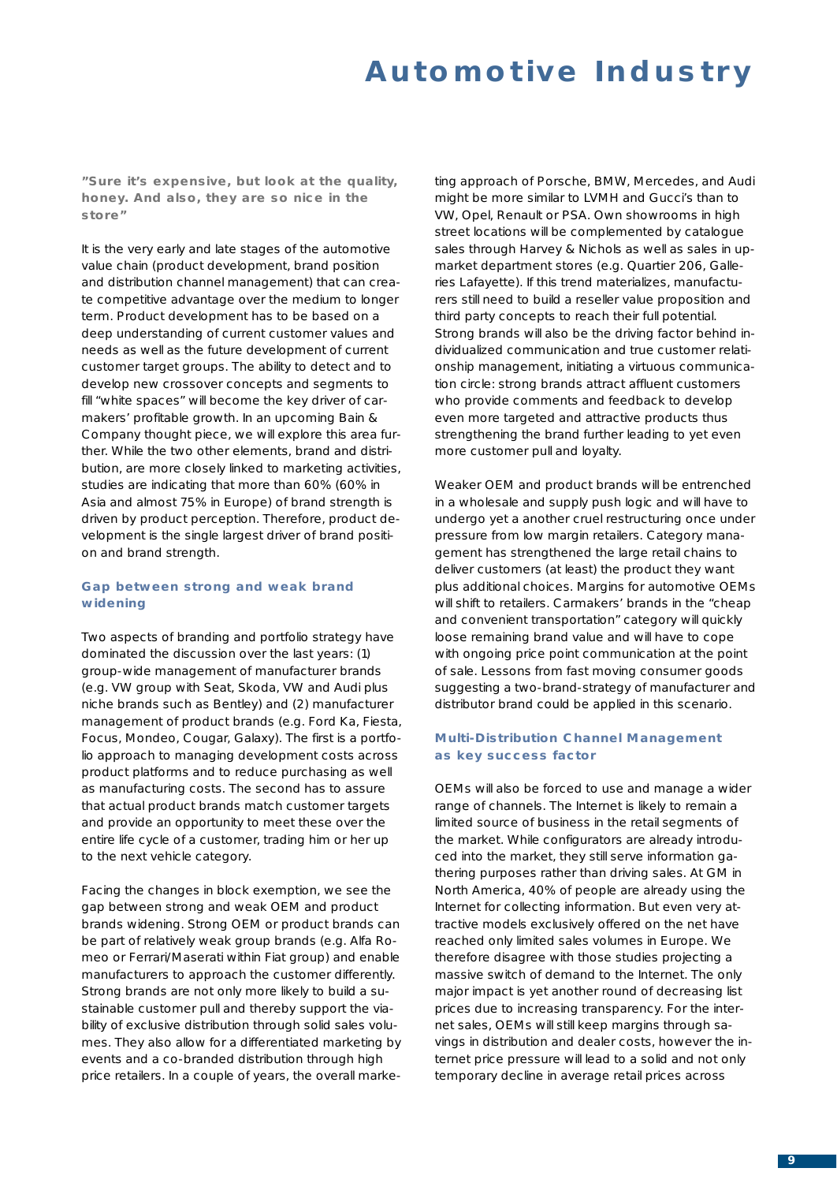**"Sure it's expensive, but look at the quality, honey. And also, they are so nice in the store"**

It is the very early and late stages of the automotive value chain (product development, brand position and distribution channel management) that can create competitive advantage over the medium to longer term. Product development has to be based on a deep understanding of current customer values and needs as well as the future development of current customer target groups. The ability to detect and to develop new crossover concepts and segments to fill "white spaces" will become the key driver of carmakers' profitable growth. In an upcoming Bain & Company thought piece, we will explore this area further. While the two other elements, brand and distribution, are more closely linked to marketing activities, studies are indicating that more than 60% (60% in Asia and almost 75% in Europe) of brand strength is driven by product perception. Therefore, product development is the single largest driver of brand position and brand strength.

### **Gap between strong and weak brand widening**

Two aspects of branding and portfolio strategy have dominated the discussion over the last years: (1) group-wide management of manufacturer brands (e.g. VW group with Seat, Skoda, VW and Audi plus niche brands such as Bentley) and (2) manufacturer management of product brands (e.g. Ford Ka, Fiesta, Focus, Mondeo, Cougar, Galaxy). The first is a portfolio approach to managing development costs across product platforms and to reduce purchasing as well as manufacturing costs. The second has to assure that actual product brands match customer targets and provide an opportunity to meet these over the entire life cycle of a customer, trading him or her up to the next vehicle category.

Facing the changes in block exemption, we see the gap between strong and weak OEM and product brands widening. Strong OEM or product brands can be part of relatively weak group brands (e.g. Alfa Romeo or Ferrari/Maserati within Fiat group) and enable manufacturers to approach the customer differently. Strong brands are not only more likely to build a sustainable customer pull and thereby support the viability of exclusive distribution through solid sales volumes. They also allow for a differentiated marketing by events and a co-branded distribution through high price retailers. In a couple of years, the overall marketing approach of Porsche, BMW, Mercedes, and Audi might be more similar to LVMH and Gucci's than to VW, Opel, Renault or PSA. Own showrooms in high street locations will be complemented by catalogue sales through Harvey & Nichols as well as sales in upmarket department stores (e.g. Quartier 206, Galleries Lafayette). If this trend materializes, manufacturers still need to build a reseller value proposition and third party concepts to reach their full potential. Strong brands will also be the driving factor behind individualized communication and true customer relationship management, initiating a virtuous communication circle: strong brands attract affluent customers who provide comments and feedback to develop even more targeted and attractive products thus strengthening the brand further leading to yet even more customer pull and loyalty.

Weaker OEM and product brands will be entrenched in a wholesale and supply push logic and will have to undergo yet a another cruel restructuring once under pressure from low margin retailers. Category management has strengthened the large retail chains to deliver customers (at least) the product they want plus additional choices. Margins for automotive OEMs will shift to retailers. Carmakers' brands in the "cheap and convenient transportation" category will quickly loose remaining brand value and will have to cope with ongoing price point communication at the point of sale. Lessons from fast moving consumer goods suggesting a two-brand-strategy of manufacturer and distributor brand could be applied in this scenario.

#### **Multi-Distribution Channel Management as key success factor**

OEMs will also be forced to use and manage a wider range of channels. The Internet is likely to remain a limited source of business in the retail segments of the market. While configurators are already introduced into the market, they still serve information gathering purposes rather than driving sales. At GM in North America, 40% of people are already using the Internet for collecting information. But even very attractive models exclusively offered on the net have reached only limited sales volumes in Europe. We therefore disagree with those studies projecting a massive switch of demand to the Internet. The only major impact is yet another round of decreasing list prices due to increasing transparency. For the internet sales, OEMs will still keep margins through savings in distribution and dealer costs, however the internet price pressure will lead to a solid and not only temporary decline in average retail prices across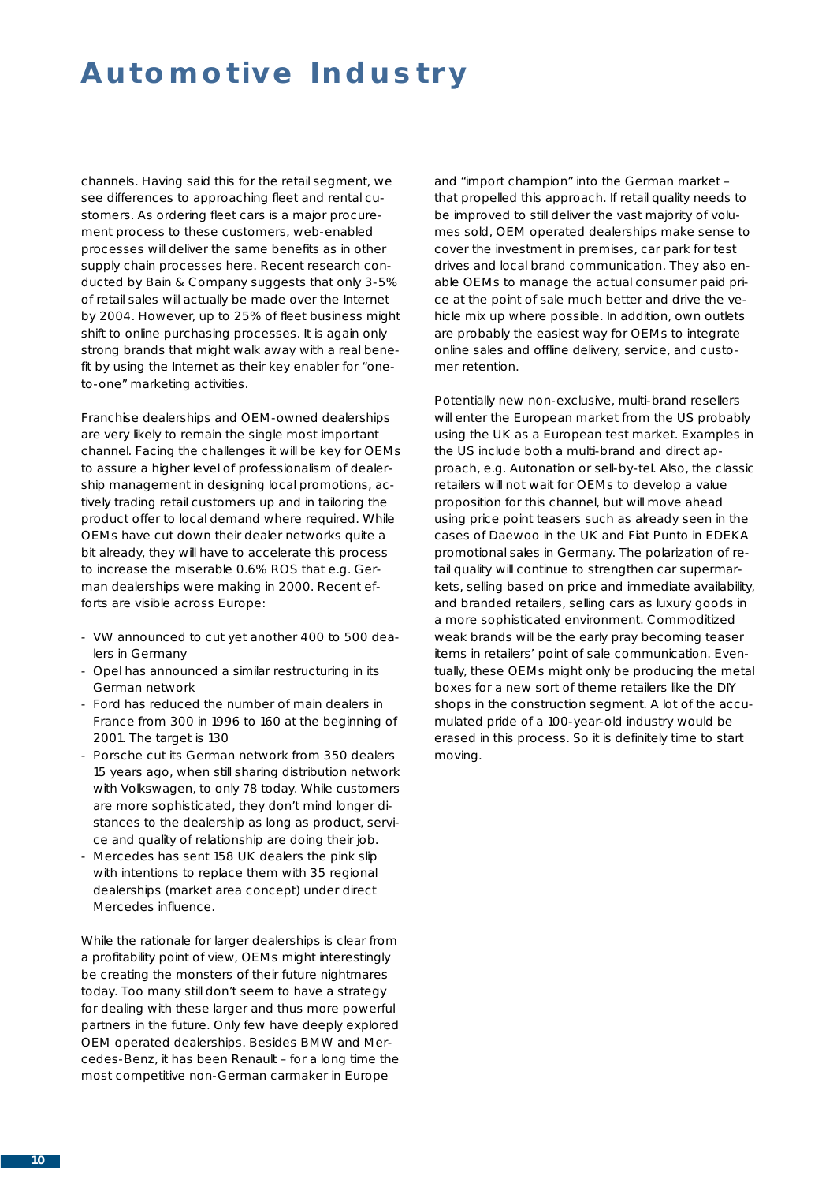channels. Having said this for the retail segment, we see differences to approaching fleet and rental customers. As ordering fleet cars is a major procurement process to these customers, web-enabled processes will deliver the same benefits as in other supply chain processes here. Recent research conducted by Bain & Company suggests that only 3-5% of retail sales will actually be made over the Internet by 2004. However, up to 25% of fleet business might shift to online purchasing processes. It is again only strong brands that might walk away with a real benefit by using the Internet as their key enabler for "oneto-one" marketing activities.

Franchise dealerships and OEM-owned dealerships are very likely to remain the single most important channel. Facing the challenges it will be key for OEMs to assure a higher level of professionalism of dealership management in designing local promotions, actively trading retail customers up and in tailoring the product offer to local demand where required. While OEMs have cut down their dealer networks quite a bit already, they will have to accelerate this process to increase the miserable 0.6% ROS that e.g. German dealerships were making in 2000. Recent efforts are visible across Europe:

- VW announced to cut yet another 400 to 500 dealers in Germany
- Opel has announced a similar restructuring in its German network
- Ford has reduced the number of main dealers in France from 300 in 1996 to 160 at the beginning of 2001. The target is 130
- Porsche cut its German network from 350 dealers 15 years ago, when still sharing distribution network with Volkswagen, to only 78 today. While customers are more sophisticated, they don't mind longer distances to the dealership as long as product, service and quality of relationship are doing their job.
- Mercedes has sent 158 UK dealers the pink slip with intentions to replace them with 35 regional dealerships (market area concept) under direct Mercedes influence.

While the rationale for larger dealerships is clear from a profitability point of view, OEMs might interestingly be creating the monsters of their future nightmares today. Too many still don't seem to have a strategy for dealing with these larger and thus more powerful partners in the future. Only few have deeply explored OEM operated dealerships. Besides BMW and Mercedes-Benz, it has been Renault – for a long time the most competitive non-German carmaker in Europe

and "import champion" into the German market – that propelled this approach. If retail quality needs to be improved to still deliver the vast majority of volumes sold, OEM operated dealerships make sense to cover the investment in premises, car park for test drives and local brand communication. They also enable OEMs to manage the actual consumer paid price at the point of sale much better and drive the vehicle mix up where possible. In addition, own outlets are probably the easiest way for OEMs to integrate online sales and offline delivery, service, and customer retention.

Potentially new non-exclusive, multi-brand resellers will enter the European market from the US probably using the UK as a European test market. Examples in the US include both a multi-brand and direct approach, e.g. Autonation or sell-by-tel. Also, the classic retailers will not wait for OEMs to develop a value proposition for this channel, but will move ahead using price point teasers such as already seen in the cases of Daewoo in the UK and Fiat Punto in EDEKA promotional sales in Germany. The polarization of retail quality will continue to strengthen car supermarkets, selling based on price and immediate availability, and branded retailers, selling cars as luxury goods in a more sophisticated environment. Commoditized weak brands will be the early pray becoming teaser items in retailers' point of sale communication. Eventually, these OEMs might only be producing the metal boxes for a new sort of theme retailers like the DIY shops in the construction segment. A lot of the accumulated pride of a 100-year-old industry would be erased in this process. So it is definitely time to start moving.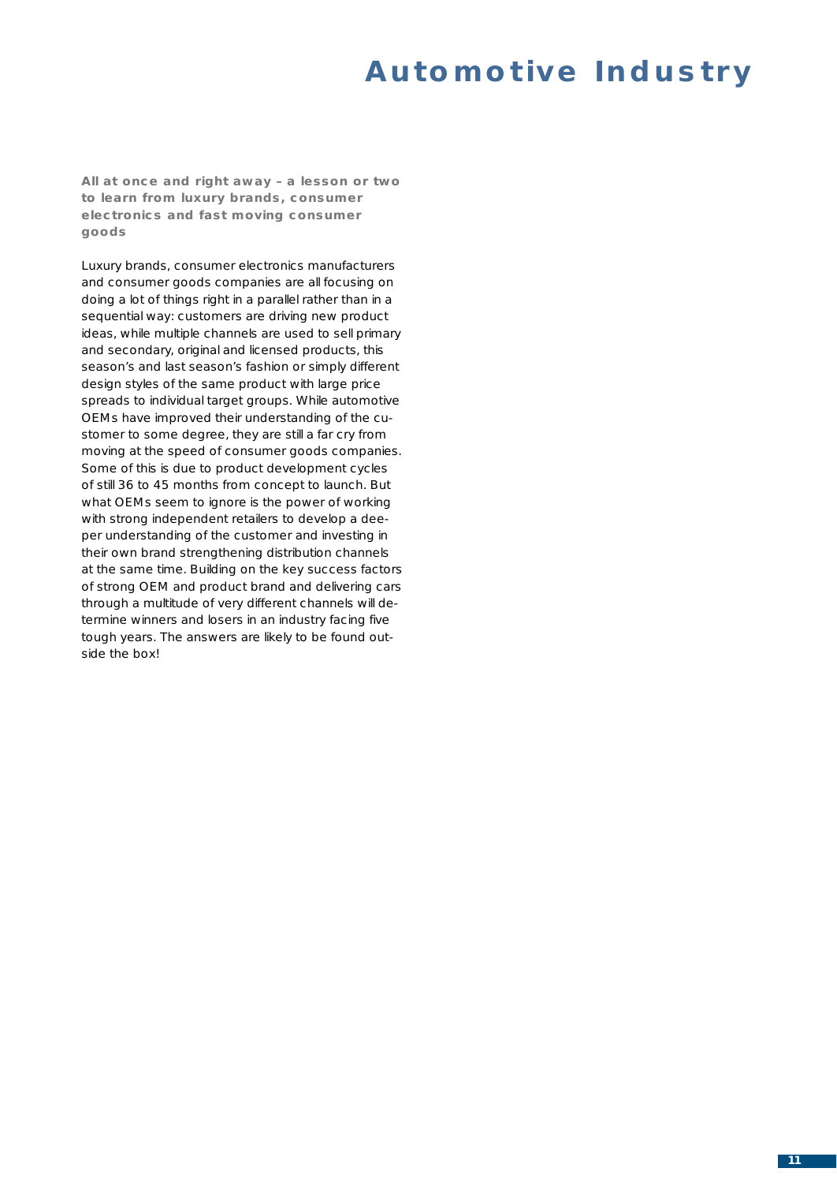**All at once and right away – a lesson or two to learn from luxury brands, consumer electronics and fast moving consumer goods**

Luxury brands, consumer electronics manufacturers and consumer goods companies are all focusing on doing a lot of things right in a parallel rather than in a sequential way: customers are driving new product ideas, while multiple channels are used to sell primary and secondary, original and licensed products, this season's and last season's fashion or simply different design styles of the same product with large price spreads to individual target groups. While automotive OEMs have improved their understanding of the customer to some degree, they are still a far cry from moving at the speed of consumer goods companies. Some of this is due to product development cycles of still 36 to 45 months from concept to launch. But what OEMs seem to ignore is the power of working with strong independent retailers to develop a deeper understanding of the customer *and* investing in their own brand strengthening distribution channels at the same time. Building on the key success factors of strong OEM and product brand and delivering cars through a multitude of very different channels will determine winners and losers in an industry facing five tough years. The answers are likely to be found outside the box!